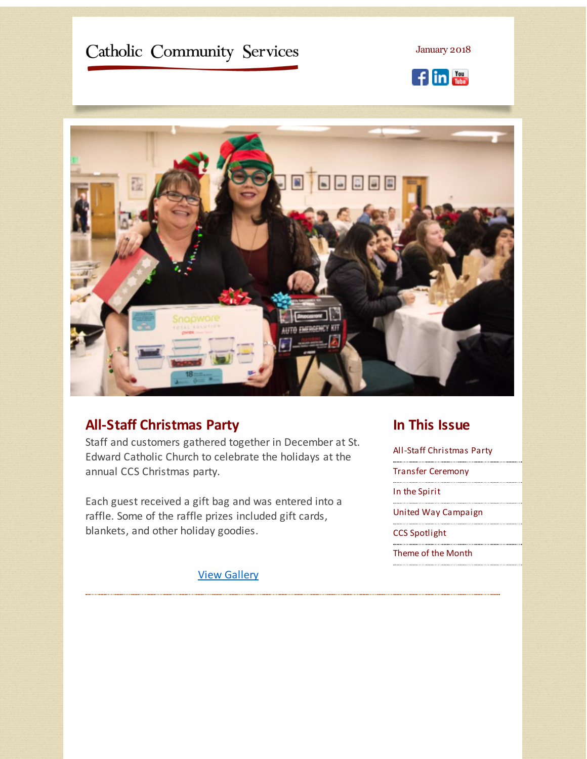# <span id="page-0-0"></span>Catholic Community Services

January 2018





# **All-Staff Christmas Party**

Staff and customers gathered together in December at St. Edward Catholic Church to celebrate the holidays at the annual CCS Christmas party.

Each guest received a gift bag and was entered into a raffle. Some of the raffle prizes included gift cards, blankets, and other holiday goodies.

View [Gallery](http://r20.rs6.net/tn.jsp?f=001bItl7m6RQCzGM6P2B0oJtmBQu5iVbye7GmA0ukcKDoEIOtDUknCga1ATVmyYRoFM4aoLjH0WhOOuWKnyTjSoSww5g1iwaA8EonE0ManzzRE2r2IzPMcb4RTmiKpEdNcdEdkOHwuLe282FIChcVFomgcK0IlLeNtsIPNTHANxZJm_7FXSxaLlw60aUtUapNTmArGEVN5wzbI=&c=&ch=)

### **In This Issue**

All-Staff [Christmas](#page-0-0) Party

Transfer [Ceremony](#page-0-0)

In the [Spirit](#page-0-0)

United Way [Campaign](#page-0-0)

CCS [Spotlight](#page-0-0)

[Theme](#page-0-0) of the Month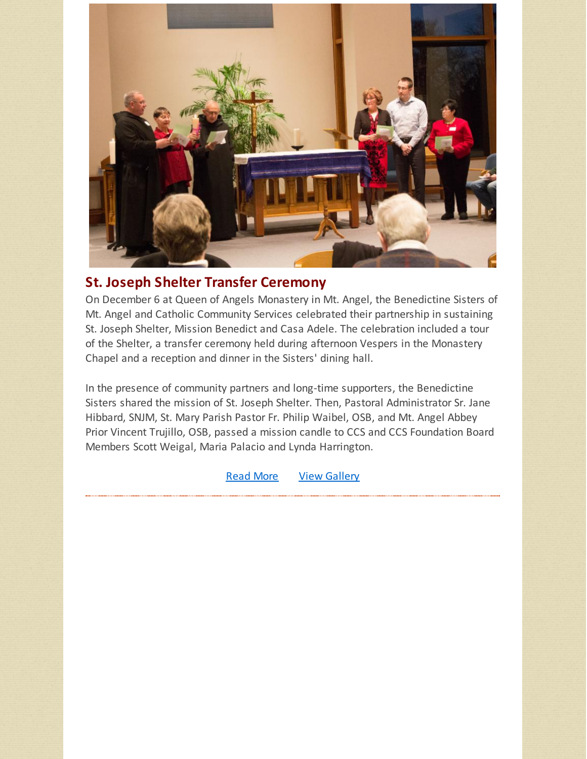

# **St. Joseph Shelter Transfer Ceremony**

On December 6 at Queen of Angels Monastery in Mt. Angel, the Benedictine Sisters of Mt. Angel and Catholic Community Services celebrated their partnership in sustaining St. Joseph Shelter, Mission Benedict and Casa Adele. The celebration included a tour of the Shelter, a transfer ceremony held during afternoon Vespers in the Monastery Chapel and a reception and dinner in the Sisters' dining hall.

In the presence of community partners and long-time supporters, the Benedictine Sisters shared the mission of St. Joseph Shelter. Then, Pastoral Administrator Sr. Jane Hibbard, SNJM, St. Mary Parish Pastor Fr. Philip Waibel, OSB, and Mt. Angel Abbey Prior Vincent Trujillo, OSB, passed a mission candle to CCS and CCS Foundation Board Members Scott Weigal, Maria Palacio and Lynda Harrington.

**[Read](http://r20.rs6.net/tn.jsp?f=001bItl7m6RQCzGM6P2B0oJtmBQu5iVbye7GmA0ukcKDoEIOtDUknCga1ATVmyYRoFMmajM_rFUGeIFN0OQMNz-1QVKDRDYxa-rbhko_rOruXmNJ376AunWezMLLXVvPODoGQNeqNIk6dKyxErJgDvxanyMx_5_-k3U5o0707TnfRF017Oi4K1aBG3ervZb4qklamG8grwrSUNNz2zG1zOgKZKDbUafPu6qBgmylEX31SAiel3cHLsN1J-WMsd9AiDFyUa0DIIzVY2Z-wtvDj3-R0Fu-RfcVODj5g-FQwljiB0=&c=&ch=) More View [Gallery](http://r20.rs6.net/tn.jsp?f=001bItl7m6RQCzGM6P2B0oJtmBQu5iVbye7GmA0ukcKDoEIOtDUknCga1ATVmyYRoFMGPQmbfXlRcCFM1g8J5K9IBkeiSM7g7SWlmoQUTIOwv_2_E1rakbK5EOC1wSCG-roYC-qy22r7HViHTmQBYjIYVDggPs6dHuLXfLVcO8sQgDZN9HGyzRIGyp8W4_Ugb4jssd3i7HCuwo=&c=&ch=)**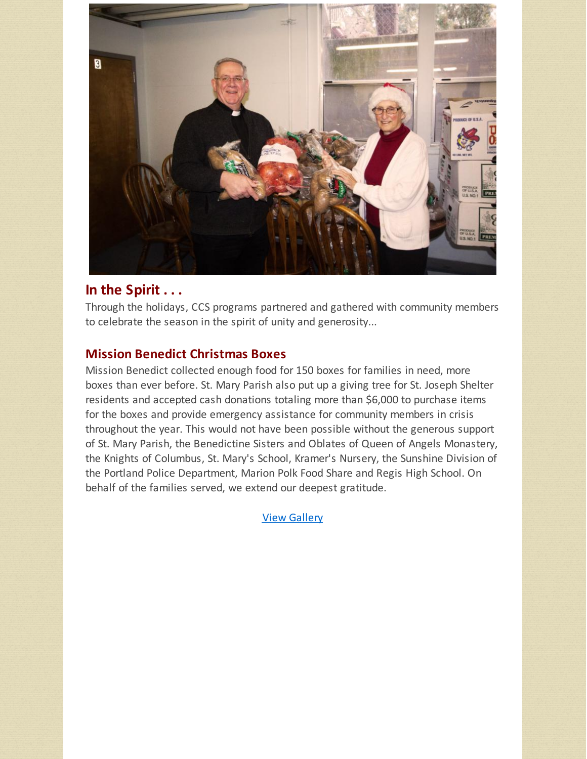

## **In the Spirit . . .**

Through the holidays, CCS programs partnered and gathered with community members to celebrate the season in the spirit of unity and generosity...

#### **Mission Benedict Christmas Boxes**

Mission Benedict collected enough food for 150 boxes for families in need, more boxes than ever before. St. Mary Parish also put up a giving tree for St. Joseph Shelter residents and accepted cash donations totaling more than \$6,000 to purchase items for the boxes and provide emergency assistance for community members in crisis throughout the year. This would not have been possible without the generous support of St. Mary Parish, the Benedictine Sisters and Oblates of Queen of Angels Monastery, the Knights of Columbus, St. Mary's School, Kramer's Nursery, the Sunshine Division of the Portland Police Department, Marion Polk Food Share and Regis High School. On behalf of the families served, we extend our deepest gratitude.

View [Gallery](http://r20.rs6.net/tn.jsp?f=001bItl7m6RQCzGM6P2B0oJtmBQu5iVbye7GmA0ukcKDoEIOtDUknCga1ATVmyYRoFMTUJiuCoGqRiVRaUegA8-4az0K7Kl-ehNRmqPdjyqdKTXhqeT7e9ZE2tHVVtTawfvBs_o5kX5vAcwnHMGM_wqHvO0m4RpwEQDlfxtjMO6o5TQaRlynoIOfLgfDMRQCvO_iI9RJHwE0yU=&c=&ch=)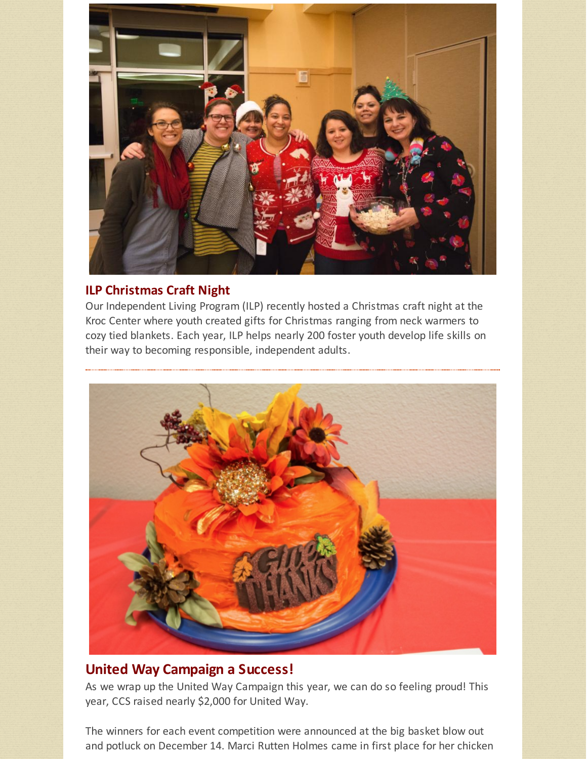

#### **ILP Christmas Craft Night**

Our Independent Living Program (ILP) recently hosted a Christmas craft night at the Kroc Center where youth created gifts for Christmas ranging from neck warmers to cozy tied blankets. Each year, ILP helps nearly 200 foster youth develop life skills on their way to becoming responsible, independent adults.



### **United Way Campaign a Success!**

As we wrap up the United Way Campaign this year, we can do so feeling proud! This year, CCS raised nearly \$2,000 for United Way.

The winners for each event competition were announced at the big basket blow out and potluck on December 14. Marci Rutten Holmes came in first place for her chicken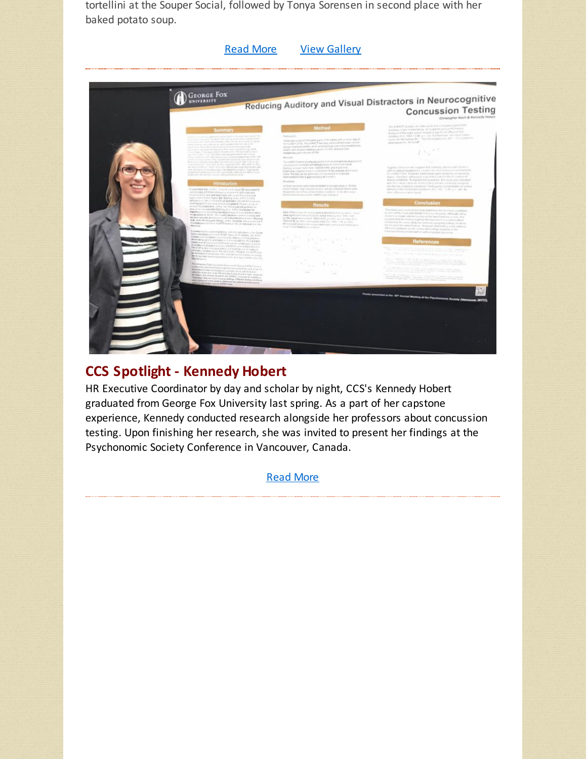tortellini at the Souper Social, followed by Tonya Sorensen in second place with her baked potato soup.

[Read](http://r20.rs6.net/tn.jsp?f=001bItl7m6RQCzGM6P2B0oJtmBQu5iVbye7GmA0ukcKDoEIOtDUknCga1ATVmyYRoFMpuPNTYgeOfTdhGxoNszdkMg5JzHXQXk4tfFfYkBseYR6nKzHBSm7BPa7ozwNRZUCX7Emq-L3myedPlFc3jDLP3uSZeWEjEF7bnVdYZCIi2SToU-chLZAWzVq6EFwszFdgNUbWnEnAfI=&c=&ch=) More View [Gallery](http://r20.rs6.net/tn.jsp?f=001bItl7m6RQCzGM6P2B0oJtmBQu5iVbye7GmA0ukcKDoEIOtDUknCga1ATVmyYRoFM-V4rYuUosnks0sMKWWmlQ_4rhGVu7OQp0WxwhOCZkF7ISE4_LP8zTC00wpwQsyLMeidFi7lOYZK2sniqJoVEEW5VFrXLTQ0VIEpq9s1HWmWbAs12kN9okuHgLWmwwD8XcAWTPdwmCEo=&c=&ch=)



# **CCS Spotlight - Kennedy Hobert**

HR Executive Coordinator by day and scholar by night, CCS's Kennedy Hobert graduated from George Fox University last spring. As a part of her capstone experience, Kennedy conducted research alongside her professors about concussion testing. Upon finishing her research, she was invited to present her findings at the Psychonomic Society Conference in Vancouver, Canada.

[Read](http://r20.rs6.net/tn.jsp?f=001bItl7m6RQCzGM6P2B0oJtmBQu5iVbye7GmA0ukcKDoEIOtDUknCga1ATVmyYRoFMpiQReM-jDduCBYiMpPHsvnvmMTl6avUH32GxAw_0w807SQYN_PiMI94jpVHcge7b-dEmTUCQAhG5eoFyWr3jUEJ20DHJZezrlayMch4yutVYnKaZGaTdL9t8Sq80i1qvHqU0rz1tNUpdbEN-Sgy2xA==&c=&ch=) More